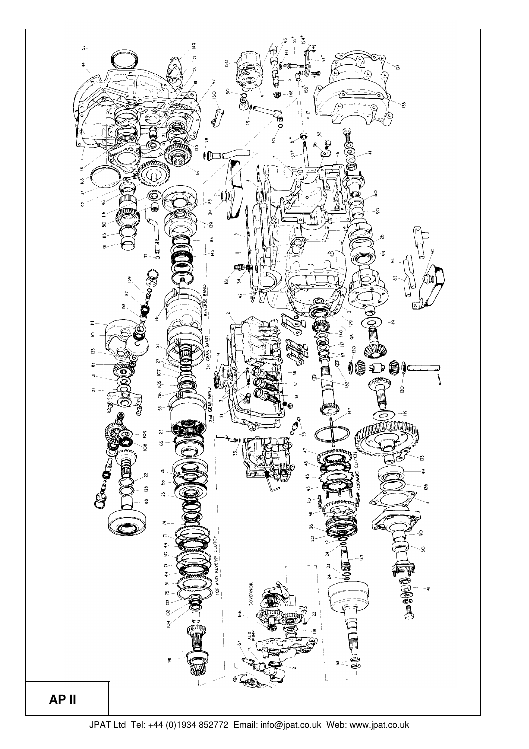

JPAT Ltd Tel: +44 (0)1934 852772 Email: info@jpat.co.uk Web: www.jpat.co.uk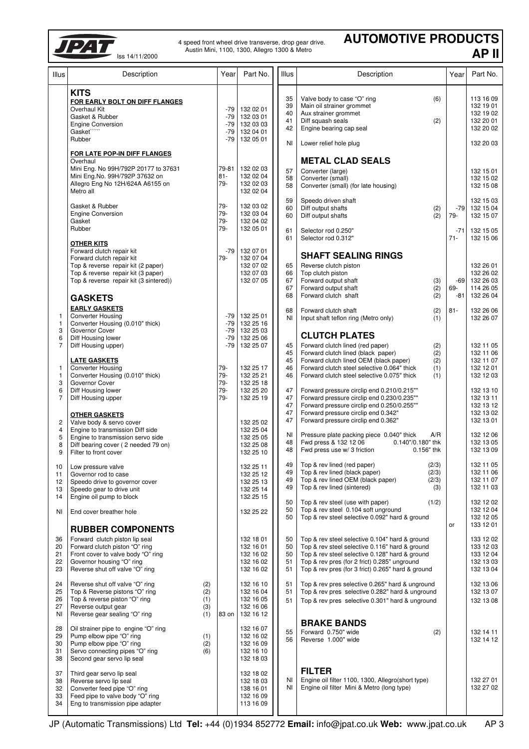

4 speed front wheel drive transverse, drop gear drive. Austin Mini, 1100, 1300, Allegro 1300 & Metro

## **AUTOMOTIVE PRODUCTS AP II**

| Illus                                                                      | Description                                                                                                                                                                                       | Yearl                                        | Part No.                                                                   | <b>Illus</b>                                 | Description                                                                                                                                                                                                                                                                                                                                                                                 | Year                   | Part No.                                                                                             |
|----------------------------------------------------------------------------|---------------------------------------------------------------------------------------------------------------------------------------------------------------------------------------------------|----------------------------------------------|----------------------------------------------------------------------------|----------------------------------------------|---------------------------------------------------------------------------------------------------------------------------------------------------------------------------------------------------------------------------------------------------------------------------------------------------------------------------------------------------------------------------------------------|------------------------|------------------------------------------------------------------------------------------------------|
|                                                                            | <b>KITS</b><br>FOR EARLY BOLT ON DIFF FLANGES<br>Overhaul Kit<br>Gasket & Rubber<br><b>Engine Conversion</b><br>Gasket""<br>Rubber                                                                | $-79$<br>$-79$<br>$-79$<br>$-79$<br>$-79$    | 132 02 01<br>132 03 01<br>132 03 03<br>132 04 01<br>132 05 01              | 35<br>39<br>40<br>41<br>42<br>ΝI             | Valve body to case "O" ring<br>(6)<br>Main oil strainer grommet<br>Aux strainer grommet<br>Diff squash seals<br>(2)<br>Engine bearing cap seal<br>Lower relief hole plug                                                                                                                                                                                                                    |                        | 113 16 09<br>132 19 01<br>132 19 02<br>132 20 01<br>132 20 02<br>132 20 03                           |
|                                                                            | FOR LATE POP-IN DIFF FLANGES<br>Overhaul<br>Mini Eng. No 99H/792P 20177 to 37631<br>Mini Eng.No. 99H/792P 37632 on<br>Allegro Eng No 12H/624A A6155 on<br>Metro all                               | 79-81<br>$81 -$<br>$79 -$                    | 132 02 03<br>132 02 04<br>132 02 03<br>132 02 04                           | 57<br>58<br>58                               | <b>METAL CLAD SEALS</b><br>Converter (large)<br>Converter (small)<br>Converter (small) (for late housing)                                                                                                                                                                                                                                                                                   |                        | 132 15 01<br>132 15 02<br>132 15 08                                                                  |
|                                                                            | Gasket & Rubber<br><b>Engine Conversion</b><br>Gasket<br>Rubber                                                                                                                                   | 79-<br>79-<br>79-<br>79-                     | 132 03 02<br>132 03 04<br>132 04 02<br>132 05 01                           | 59<br>60<br>60<br>61                         | Speedo driven shaft<br>Diff output shafts<br>(2)<br>Diff output shafts<br>(2)<br>Selector rod 0.250"                                                                                                                                                                                                                                                                                        | $-79$<br>79-<br>$-71$  | 132 15 03<br>132 15 04<br>132 15 07<br>132 15 05                                                     |
|                                                                            | <b>OTHER KITS</b><br>Forward clutch repair kit<br>Forward clutch repair kit<br>Top & reverse repair kit (2 paper)<br>Top & reverse repair kit (3 paper)<br>Top & reverse repair kit (3 sintered)) | -79  <br>79-                                 | 132 07 01<br>132 07 04<br>132 07 02<br>132 07 03<br>132 07 05              | 61<br>65<br>66<br>67<br>67                   | Selector rod 0.312"<br><b>SHAFT SEALING RINGS</b><br>Reverse clutch piston<br>Top clutch piston<br>Forward output shaft<br>(3)<br>Forward output shaft<br>(2)                                                                                                                                                                                                                               | $71 -$<br>$-69$<br>69- | 132 15 06<br>132 26 01<br>132 26 02<br>132 26 03<br>114 26 05                                        |
| 1<br>$\mathbf{1}$<br>3<br>6                                                | <b>GASKETS</b><br><b>EARLY GASKETS</b><br><b>Converter Housing</b><br>Converter Housing (0.010" thick)<br>Governor Cover<br>Diff Housing lower                                                    | -79<br>$-79$<br>$-79$<br>$-79$               | 132 25 01<br>132 25 16<br>132 25 03<br>132 25 06                           | 68<br>68<br>NI                               | (2)<br>Forward clutch shaft<br>Forward clutch shaft<br>(2)<br>Input shaft teflon ring (Metro only)<br>(1)<br><b>CLUTCH PLATES</b>                                                                                                                                                                                                                                                           | $-81$<br>$81 -$        | 132 26 04<br>132 26 06<br>132 26 07                                                                  |
| $\overline{7}$<br>$\mathbf{1}$<br>$\mathbf{1}$<br>3<br>6<br>$\overline{7}$ | Diff Housing upper)<br><b>LATE GASKETS</b><br><b>Converter Housing</b><br>Converter Housing (0.010" thick)<br>Governor Cover<br>Diff Housing lower<br>Diff Housing upper                          | -79<br>79-<br>$79 -$<br>79-<br>79-<br>$79 -$ | 132 25 07<br>132 25 17<br>132 25 21<br>132 25 18<br>132 25 20<br>132 25 19 | 45<br>45<br>45<br>46<br>46<br>47<br>47<br>47 | Forward clutch lined (red paper)<br>(2)<br>Forward clutch lined (black paper)<br>(2)<br>Forward clutch lined OEM (black paper)<br>(2)<br>Forward clutch steel selective 0.064" thick<br>(1)<br>Forward clutch steel selective 0.075" thick<br>(1)<br>Forward pressure circlip end 0.210/0.215""<br>Forward pressure circlip end 0.230/0.235""<br>Forward pressure circlip end 0.250/0.255"" |                        | 132 11 05<br>132 11 06<br>132 11 07<br>132 12 01<br>132 12 03<br>132 13 10<br>132 13 11<br>132 13 12 |
| $\overline{\mathbf{c}}$<br>$\overline{4}$<br>5<br>8<br>9                   | <b>OTHER GASKETS</b><br>Valve body & servo cover<br>Engine to transmission Diff side<br>Engine to transmission servo side<br>Diff bearing cover (2 needed 79 on)<br>Filter to front cover         |                                              | 132 25 02<br>132 25 04<br>132 25 05<br>132 25 08<br>132 25 10              | 47<br>47<br>NI<br>48<br>48                   | Forward pressure circlip end 0.342"<br>Forward pressure circlip end 0.362"<br>Pressure plate packing piece 0.040" thick<br>A/R<br>Fwd press & 132 12 06 0.140"/0.180" thk<br>Fwd press use w/ 3 friction<br>$0.156"$ thk                                                                                                                                                                    |                        | 132 13 02<br>132 13 01<br>132 12 06<br>132 13 05<br>132 13 09                                        |
| 10<br>11<br>12<br>13<br>14                                                 | Low pressure valve<br>Governor rod to case<br>Speedo drive to governor cover<br>Speedo gear to drive unit<br>Engine oil pump to block                                                             |                                              | 132 25 11<br>132 25 12<br>132 25 13<br>132 25 14<br>132 25 15              | 49<br>49<br>49<br>49                         | Top & rev lined (red paper)<br>(2/3)<br>Top & rev lined (black paper)<br>(2/3)<br>Top & rev lined OEM (black paper)<br>(2/3)<br>Top & rev lined (sintered)<br>(3)                                                                                                                                                                                                                           |                        | 132 11 05<br>132 11 06<br>132 11 07<br>132 11 03                                                     |
| ΝI                                                                         | End cover breather hole<br><b>RUBBER COMPONENTS</b>                                                                                                                                               |                                              | 132 25 22                                                                  | 50<br>50<br>50                               | Top & rev steel (use with paper)<br>(1/2)<br>Top & rev steel 0.104 soft unground<br>Top & rev steel selective 0.092" hard & ground                                                                                                                                                                                                                                                          | or                     | 132 12 02<br>132 12 04<br>132 12 05<br>133 12 01                                                     |
| 36<br>20<br>21<br>22<br>23                                                 | Forward clutch piston lip seal<br>Forward clutch piston "O" ring<br>Front cover to valve body "O" ring<br>Governor housing "O" ring<br>Reverse shut off valve "O" ring                            |                                              | 132 18 01<br>132 16 01<br>132 16 02<br>132 16 02<br>132 16 02              | 50<br>50<br>50<br>51<br>51                   | Top & rev steel selective 0.104" hard & ground<br>Top & rev steel selective 0.116" hard & ground<br>Top & rev steel selective 0.128" hard & ground<br>Top & rev pres (for 2 frict) 0.285" unground<br>Top & rev pres (for 3 frict) 0.265" hard & ground                                                                                                                                     |                        | 133 12 02<br>133 12 03<br>133 12 04<br>132 13 03<br>132 13 04                                        |
| 24<br>25<br>26<br>27<br>ΝI                                                 | Reverse shut off valve "O" ring<br>(2)<br>Top & Reverse pistons "O" ring<br>(2)<br>Top & reverse piston "O" ring<br>(1)<br>Reverse output gear<br>(3)<br>Reverse gear sealing "O" ring<br>(1)     | 83 on                                        | 132 16 10<br>132 16 04<br>132 16 05<br>132 16 06<br>132 16 12              | 51<br>51<br>51                               | Top & rev pres selective 0.265" hard & unground<br>Top & rev pres selective 0.282" hard & unground<br>Top & rev pres selective 0.301" hard & unground                                                                                                                                                                                                                                       |                        | 132 13 06<br>132 13 07<br>132 13 08                                                                  |
| 28<br>29<br>30<br>31<br>38                                                 | Oil strainer pipe to engine "O" ring<br>Pump elbow pipe "O" ring<br>(1)<br>Pump elbow pipe "O" ring<br>(2)<br>Servo connecting pipes "O" ring<br>(6)<br>Second gear servo lip seal                |                                              | 132 16 07<br>132 16 02<br>132 16 09<br>132 16 10<br>132 18 03              | 55<br>56                                     | <b>BRAKE BANDS</b><br>Forward 0.750" wide<br>(2)<br>Reverse 1.000" wide                                                                                                                                                                                                                                                                                                                     |                        | 132 14 11<br>132 14 12                                                                               |
| 37<br>38<br>32<br>33<br>34                                                 | Third gear servo lip seal<br>Reverse servo lip seal<br>Converter feed pipe "O" ring<br>Feed pipe to valve body "O" ring<br>Eng to transmission pipe adapter                                       |                                              | 132 18 02<br>132 18 03<br>138 16 01<br>132 16 09<br>113 16 09              | NI<br>ΝI                                     | <b>FILTER</b><br>Engine oil filter 1100, 1300, Allegro(short type)<br>Engine oil filter Mini & Metro (long type)                                                                                                                                                                                                                                                                            |                        | 132 27 01<br>132 27 02                                                                               |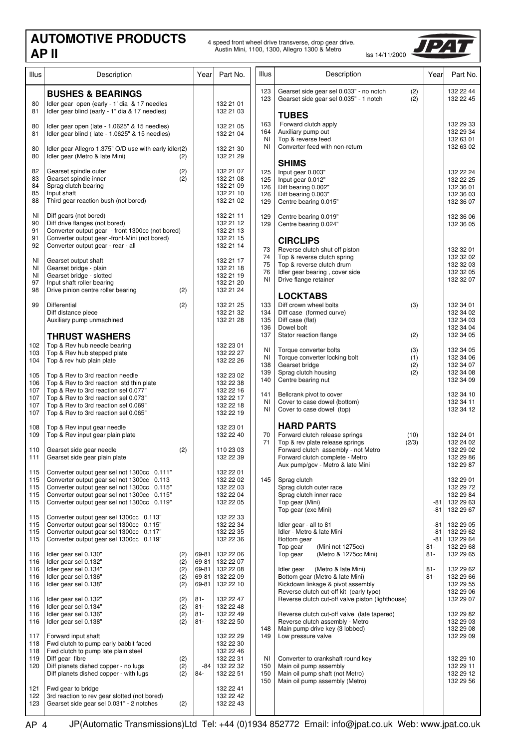## Austin Mini, 1100, 1300, Allegro 1300 & Metro Iss 14/11/2000 **AUTOMOTIVE PRODUCTS**

4 speed front wheel drive transverse, drop gear drive.



| Illus                                  | Description                                                                                                                                                                                                                                  | Year                                      | Part No.                                                                   | Illus                                 | Description                                                                                                                                                                                                                                                                                                                     | Year                     | Part No.                                                                   |
|----------------------------------------|----------------------------------------------------------------------------------------------------------------------------------------------------------------------------------------------------------------------------------------------|-------------------------------------------|----------------------------------------------------------------------------|---------------------------------------|---------------------------------------------------------------------------------------------------------------------------------------------------------------------------------------------------------------------------------------------------------------------------------------------------------------------------------|--------------------------|----------------------------------------------------------------------------|
|                                        | <b>BUSHES &amp; BEARINGS</b>                                                                                                                                                                                                                 |                                           |                                                                            | 123<br>123                            | Gearset side gear sel 0.033" - no notch<br>(2)<br>Gearset side gear sel 0.035" - 1 notch<br>(2)                                                                                                                                                                                                                                 |                          | 132 22 44<br>132 22 45                                                     |
| 80<br>81                               | Idler gear open (early - 1' dia & 17 needles<br>Idler gear blind (early - 1" dia & 17 needles)                                                                                                                                               |                                           | 132 21 01<br>132 21 03                                                     |                                       | <b>TUBES</b>                                                                                                                                                                                                                                                                                                                    |                          |                                                                            |
| 80<br>81                               | Idler gear open (late - 1.0625" & 15 needles)<br>Idler gear blind (late - 1.0625" & 15 needles)                                                                                                                                              |                                           | 132 21 05<br>132 21 04                                                     | 163<br>164<br>ΝI                      | Forward clutch apply<br>Auxiliary pump out<br>Top & reverse feed                                                                                                                                                                                                                                                                |                          | 132 29 33<br>132 29 34<br>132 63 01                                        |
| 80<br>80                               | Idler gear Allegro 1.375" O/D use with early idler(2)<br>Idler gear (Metro & late Mini)<br>(2)                                                                                                                                               |                                           | 132 21 30<br>132 21 29                                                     | ΝI                                    | Converter feed with non-return                                                                                                                                                                                                                                                                                                  |                          | 132 63 02                                                                  |
| 82<br>83<br>84<br>85<br>88             | Gearset spindle outer<br>(2)<br>Gearset spindle inner<br>(2)<br>Sprag clutch bearing<br>Input shaft<br>Third gear reaction bush (not bored)                                                                                                  |                                           | 132 21 07<br>132 21 08<br>132 21 09<br>132 21 10<br>132 21 02              | 125<br>125<br>126<br>126<br>129       | <b>SHIMS</b><br>Input gear 0.003"<br>Input gear 0.012"<br>Diff bearing 0.002"<br>Diff bearing 0.003"<br>Centre bearing 0.015"                                                                                                                                                                                                   |                          | 132 22 24<br>132 22 25<br>132 36 01<br>132 36 03<br>132 36 07              |
| ΝI<br>90<br>91<br>91<br>92             | Diff gears (not bored)<br>Diff drive flanges (not bored)<br>Converter output gear - front 1300cc (not bored)<br>Converter output gear -front-Mini (not bored)<br>Converter output gear - rear - all                                          |                                           | 132 21 11<br>132 21 12<br>132 21 13<br>132 21 15<br>132 21 14              | 129<br>129                            | Centre bearing 0.019"<br>Centre bearing 0.024"<br><b>CIRCLIPS</b>                                                                                                                                                                                                                                                               |                          | 132 36 06<br>132 36 05                                                     |
| ΝI<br>ΝI<br>ΝI<br>97<br>98             | Gearset output shaft<br>Gearset bridge - plain<br>Gearset bridge - slotted<br>Input shaft roller bearing<br>Drive pinion centre roller bearing<br>(2)                                                                                        |                                           | 132 21 17<br>132 21 18<br>132 21 19<br>132 21 20<br>132 21 24              | 73<br>74<br>75<br>76<br>NI            | Reverse clutch shut off piston<br>Top & reverse clutch spring<br>Top & reverse clutch drum<br>Idler gear bearing, cover side<br>Drive flange retainer<br><b>LOCKTABS</b>                                                                                                                                                        |                          | 132 32 01<br>132 32 02<br>132 32 03<br>132 32 05<br>132 32 07              |
| 99                                     | Differential<br>(2)<br>Diff distance piece<br>Auxiliary pump unmachined                                                                                                                                                                      |                                           | 132 21 25<br>132 21 32<br>132 21 28                                        | 133<br>134<br>135<br>136              | Diff crown wheel bolts<br>(3)<br>Diff case (formed curve)<br>Diff case (flat)<br>Dowel bolt                                                                                                                                                                                                                                     |                          | 132 34 01<br>132 34 02<br>132 34 03<br>132 34 04                           |
| 102<br>103<br>104                      | <b>THRUST WASHERS</b><br>Top & Rev hub needle bearing<br>Top & Rev hub stepped plate<br>Top & rev hub plain plate                                                                                                                            |                                           | 132 23 01<br>132 22 27<br>132 22 26                                        | 137<br>ΝI<br>ΝI<br>138                | Stator reaction flange<br>(2)<br>Torque converter bolts<br>(3)<br>Torque converter locking bolt<br>(1)<br>Gearset bridge<br>(2)                                                                                                                                                                                                 |                          | 132 34 05<br>132 34 05<br>132 34 06<br>132 34 07                           |
| 105<br>106<br>107<br>107<br>107<br>107 | Top & Rev to 3rd reaction needle<br>Top & Rev to 3rd reaction std thin plate<br>Top & Rev to 3rd reaction sel 0.077"<br>Top & Rev to 3rd reaction sel 0.073"<br>Top & Rev to 3rd reaction sel 0.069"<br>Top & Rev to 3rd reaction sel 0.065" |                                           | 132 23 02<br>132 22 38<br>132 22 16<br>132 22 17<br>132 22 18<br>132 22 19 | 139<br>140<br>141<br>ΝI<br>ΝI         | Sprag clutch housing<br>(2)<br>Centre bearing nut<br>Bellcrank pivot to cover<br>Cover to case dowel (bottom)<br>Cover to case dowel (top)                                                                                                                                                                                      |                          | 132 34 08<br>132 34 09<br>132 34 10<br>132 34 11<br>132 34 12              |
| 108<br>109                             | Top & Rev input gear needle<br>Top & Rev input gear plain plate                                                                                                                                                                              |                                           | 132 23 01<br>132 22 40                                                     | 70                                    | <b>HARD PARTS</b><br>Forward clutch release springs<br>(10)                                                                                                                                                                                                                                                                     |                          | 132 24 01<br>132 24 02                                                     |
| 110<br>111                             | Gearset side gear needle<br>(2)<br>Gearset side gear plain plate                                                                                                                                                                             |                                           | 110 23 03<br>132 22 39                                                     | 71                                    | Top & rev plate release springs<br>(2/3)<br>Forward clutch assembly - not Metro<br>Forward clutch complete - Metro<br>Aux pump/gov - Metro & late Mini                                                                                                                                                                          |                          | 132 29 02<br>132 29 86<br>132 29 87                                        |
| 115<br>115<br>115<br>115<br>115        | Converter output gear sel not 1300cc 0.111"<br>Converter output gear sel not 1300cc 0.113<br>Converter output gear sel not 1300cc 0.115"<br>Converter output gear sel not 1300cc 0.115"<br>Converter output gear sel not 1300cc 0.119"       |                                           | 132 22 01<br>132 22 02<br>132 22 03<br>132 22 04<br>132 22 05              | 145                                   | Sprag clutch<br>Sprag clutch outer race<br>Sprag clutch inner race<br>Top gear (Mini)<br>Top gear (exc Mini)                                                                                                                                                                                                                    | -81<br>-81               | 132 29 01<br>132 29 72<br>132 29 84<br>132 29 63<br>132 29 67              |
| 115<br>115<br>115<br>115               | Converter output gear sel 1300cc 0.113"<br>Converter output gear sel 1300cc 0.115"<br>Converter output gear sel 1300cc 0.117"<br>Converter output gear sel 1300cc 0.119"                                                                     |                                           | 132 22 33<br>132 22 34<br>132 22 35<br>132 22 36                           |                                       | Idler gear - all to 81<br>Idler - Metro & late Mini<br>Bottom gear<br>Top gear<br>(Mini not 1275cc)                                                                                                                                                                                                                             | -81<br>-81<br>-81<br>81- | 132 29 05<br>132 29 62<br>132 29 64<br>132 29 68                           |
| 116<br>116<br>116<br>116<br>116        | Idler gear sel 0.130"<br>(2)<br>(2)<br>Idler gear sel 0.132"<br>(2)<br>Idler gear sel 0.134"<br>Idler gear sel 0.136"<br>(2)<br>Idler gear sel 0.138"<br>(2)                                                                                 | 69-81<br>69-81<br>69-81<br>69-81<br>69-81 | 132 22 06<br>132 22 07<br>132 22 08<br>132 22 09<br>132 22 10              |                                       | Top gear<br>(Metro & 1275cc Mini)<br>Idler gear<br>(Metro & late Mini)<br>Bottom gear (Metro & late Mini)<br>Kickdown linkage & pivot assembly<br>Reverse clutch cut-off kit (early type)<br>Reverse clutch cut-off valve piston (lighthouse)<br>Reverse clutch cut-off valve (late tapered)<br>Reverse clutch assembly - Metro | 81-<br>$81 -$<br>81-     | 132 29 65<br>132 29 62<br>132 29 66<br>132 29 55                           |
| 116<br>116<br>116<br>116               | (2)<br>Idler gear sel 0.132"<br>(2)<br>Idler gear sel 0.134"<br>(2)<br>Idler gear sel 0.136"<br>(2)<br>Idler gear sel 0.138"                                                                                                                 | $81 -$<br>$81 -$<br>81-<br>81-            | 132 22 47<br>132 22 48<br>132 22 49<br>132 22 50                           |                                       |                                                                                                                                                                                                                                                                                                                                 |                          | 132 29 06<br>132 29 07<br>132 29 82<br>132 29 03                           |
| 117<br>118<br>118<br>119<br>120        | Forward input shaft<br>Fwd clutch to pump early babbit faced<br>Fwd clutch to pump late plain steel<br>Diff gear fibre<br>(2)<br>Diff planets dished copper - no lugs<br>(2)<br>Diff planets dished copper - with lugs<br>(2)                | -84<br>84-                                | 132 22 29<br>132 22 30<br>132 22 46<br>132 22 31<br>132 22 32<br>132 22 51 | 148<br>149<br>ΝI<br>150<br>150<br>150 | Main pump drive key (3 lobbed)<br>Low pressure valve<br>Converter to crankshaft round key<br>Main oil pump assembly<br>Main oil pump shaft (not Metro)<br>Main oil pump assembly (Metro)                                                                                                                                        |                          | 132 29 08<br>132 29 09<br>132 29 10<br>132 29 11<br>132 29 12<br>132 29 56 |
| 121<br>122<br>123                      | Fwd gear to bridge<br>3rd reaction to rev gear slotted (not bored)<br>Gearset side gear sel 0.031" - 2 notches<br>(2)                                                                                                                        |                                           | 132 22 41<br>132 22 42<br>132 22 43                                        |                                       |                                                                                                                                                                                                                                                                                                                                 |                          |                                                                            |